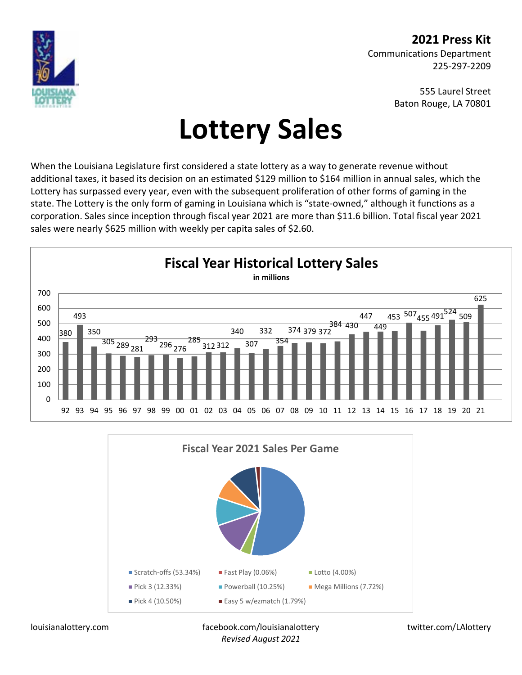

Communications Department 225-297-2209

> 555 Laurel Street Baton Rouge, LA 70801

## **Lottery Sales**

When the Louisiana Legislature first considered a state lottery as a way to generate revenue without additional taxes, it based its decision on an estimated \$129 million to \$164 million in annual sales, which the Lottery has surpassed every year, even with the subsequent proliferation of other forms of gaming in the state. The Lottery is the only form of gaming in Louisiana which is "state-owned," although it functions as a corporation. Sales since inception through fiscal year 2021 are more than \$11.6 billion. Total fiscal year 2021 sales were nearly \$625 million with weekly per capita sales of \$2.60.





louisianalottery.com facebook.com/louisianalottery twitter.com/LAlottery *Revised August 2021*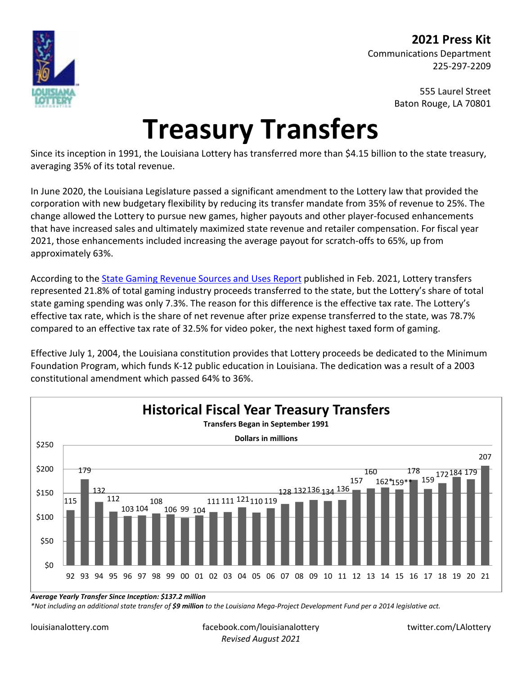

> 555 Laurel Street Baton Rouge, LA 70801

## **Treasury Transfers**

Since its inception in 1991, the Louisiana Lottery has transferred more than \$4.15 billion to the state treasury, averaging 35% of its total revenue.

In June 2020, the Louisiana Legislature passed a significant amendment to the Lottery law that provided the corporation with new budgetary flexibility by reducing its transfer mandate from 35% of revenue to 25%. The change allowed the Lottery to pursue new games, higher payouts and other player-focused enhancements that have increased sales and ultimately maximized state revenue and retailer compensation. For fiscal year 2021, those enhancements included increasing the average payout for scratch-offs to 65%, up from approximately 63%.

According to the [State Gaming Revenue Sources and Uses Report](http://lfo.louisiana.gov/files/revenue/GAM_REV_S&U_02_2021.pdf) published in Feb. 2021, Lottery transfers represented 21.8% of total gaming industry proceeds transferred to the state, but the Lottery's share of total state gaming spending was only 7.3%. The reason for this difference is the effective tax rate. The Lottery's effective tax rate, which is the share of net revenue after prize expense transferred to the state, was 78.7% compared to an effective tax rate of 32.5% for video poker, the next highest taxed form of gaming.

Effective July 1, 2004, the Louisiana constitution provides that Lottery proceeds be dedicated to the Minimum Foundation Program, which funds K-12 public education in Louisiana. The dedication was a result of a 2003 constitutional amendment which passed 64% to 36%.



*Average Yearly Transfer Since Inception: \$137.2 million*

*\*Not including an additional state transfer of \$9 million to the Louisiana Mega-Project Development Fund per a 2014 legislative act.*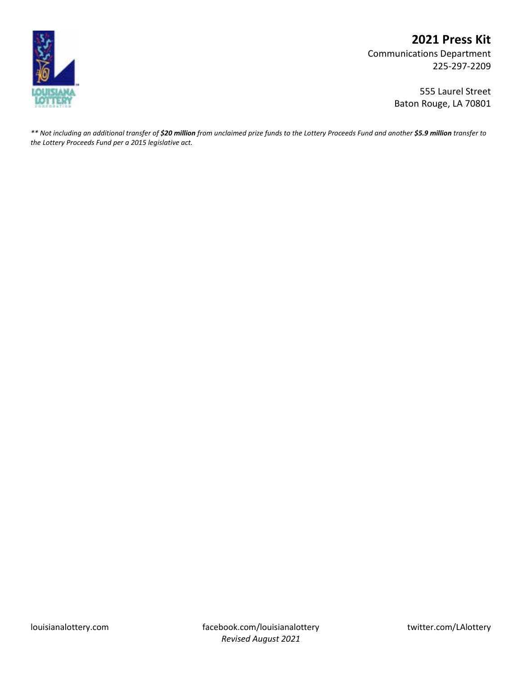

Communications Department 225-297-2209

> 555 Laurel Street Baton Rouge, LA 70801

*\*\* Not including an additional transfer of \$20 million from unclaimed prize funds to the Lottery Proceeds Fund and another \$5.9 million transfer to the Lottery Proceeds Fund per a 2015 legislative act.*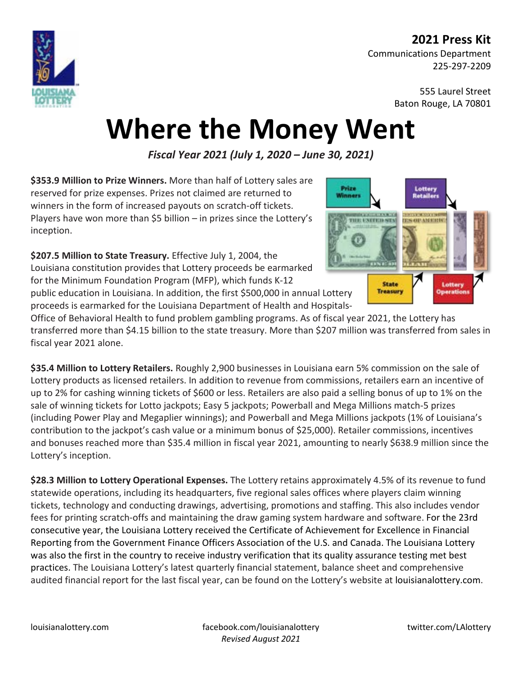Communications Department 225-297-2209

> 555 Laurel Street Baton Rouge, LA 70801

## **Where the Money Went**

*Fiscal Year 2021 (July 1, 2020 – June 30, 2021)*

**\$353.9 Million to Prize Winners.** More than half of Lottery sales are reserved for prize expenses. Prizes not claimed are returned to winners in the form of increased payouts on scratch-off tickets. Players have won more than \$5 billion – in prizes since the Lottery's inception.

**\$207.5 Million to State Treasury.** Effective July 1, 2004, the Louisiana constitution provides that Lottery proceeds be earmarked for the Minimum Foundation Program (MFP), which funds K-12 public education in Louisiana. In addition, the first \$500,000 in annual Lottery proceeds is earmarked for the Louisiana Department of Health and Hospitals-

Prize Lottery Winners **Retailers** THE EXETER STA **TES OF AMERICA State** Lottery **Operation Treasury** 

Office of Behavioral Health to fund problem gambling programs. As of fiscal year 2021, the Lottery has transferred more than \$4.15 billion to the state treasury. More than \$207 million was transferred from sales in fiscal year 2021 alone.

**\$35.4 Million to Lottery Retailers.** Roughly 2,900 businesses in Louisiana earn 5% commission on the sale of Lottery products as licensed retailers. In addition to revenue from commissions, retailers earn an incentive of up to 2% for cashing winning tickets of \$600 or less. Retailers are also paid a selling bonus of up to 1% on the sale of winning tickets for Lotto jackpots; Easy 5 jackpots; Powerball and Mega Millions match-5 prizes (including Power Play and Megaplier winnings); and Powerball and Mega Millions jackpots (1% of Louisiana's contribution to the jackpot's cash value or a minimum bonus of \$25,000). Retailer commissions, incentives and bonuses reached more than \$35.4 million in fiscal year 2021, amounting to nearly \$638.9 million since the Lottery's inception.

**\$28.3 Million to Lottery Operational Expenses.** The Lottery retains approximately 4.5% of its revenue to fund statewide operations, including its headquarters, five regional sales offices where players claim winning tickets, technology and conducting drawings, advertising, promotions and staffing. This also includes vendor fees for printing scratch-offs and maintaining the draw gaming system hardware and software. For the 23rd consecutive year, the Louisiana Lottery received the Certificate of Achievement for Excellence in Financial Reporting from the Government Finance Officers Association of the U.S. and Canada. The Louisiana Lottery was also the first in the country to receive industry verification that its quality assurance testing met best practices. The Louisiana Lottery's latest quarterly financial statement, balance sheet and comprehensive audited financial report for the last fiscal year, can be found on the Lottery's website at louisianalottery.com.

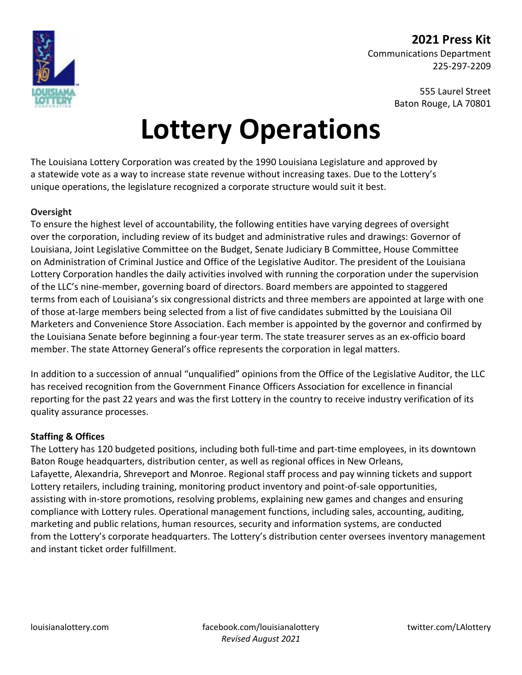

> 555 Laurel Street Baton Rouge, LA 70801

## **Lottery Operations**

The Louisiana Lottery Corporation was created by the 1990 Louisiana Legislature and approved by a statewide vote as a way to increase state revenue without increasing taxes. Due to the Lottery's unique operations, the legislature recognized a corporate structure would suit it best.

#### **Oversight**

To ensure the highest level of accountability, the following entities have varying degrees of oversight over the corporation, including review of its budget and administrative rules and drawings: Governor of Louisiana, Joint Legislative Committee on the Budget, Senate Judiciary B Committee, House Committee on Administration of Criminal Justice and Office of the Legislative Auditor. The president of the Louisiana Lottery Corporation handles the daily activities involved with running the corporation under the supervision of the LLC's nine-member, governing board of directors. Board members are appointed to staggered terms from each of Louisiana's six congressional districts and three members are appointed at large with one of those at-large members being selected from a list of five candidates submitted by the Louisiana Oil Marketers and Convenience Store Association. Each member is appointed by the governor and confirmed by the Louisiana Senate before beginning a four-year term. The state treasurer serves as an ex-officio board member. The state Attorney General's office represents the corporation in legal matters.

In addition to a succession of annual "unqualified" opinions from the Office of the Legislative Auditor, the LLC has received recognition from the Government Finance Officers Association for excellence in financial reporting for the past 22 years and was the first Lottery in the country to receive industry verification of its quality assurance processes.

#### **Staffing & Offices**

The Lottery has 120 budgeted positions, including both full-time and part-time employees, in its downtown Baton Rouge headquarters, distribution center, as well as regional offices in New Orleans, Lafayette, Alexandria, Shreveport and Monroe. Regional staff process and pay winning tickets and support Lottery retailers, including training, monitoring product inventory and point-of-sale opportunities, assisting with in-store promotions, resolving problems, explaining new games and changes and ensuring compliance with Lottery rules. Operational management functions, including sales, accounting, auditing, marketing and public relations, human resources, security and information systems, are conducted from the Lottery's corporate headquarters. The Lottery's distribution center oversees inventory management and instant ticket order fulfillment.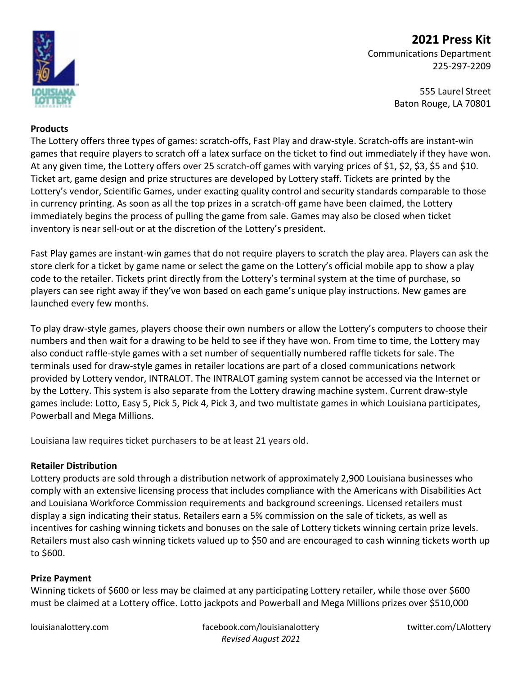

Communications Department 225-297-2209

> 555 Laurel Street Baton Rouge, LA 70801

#### **Products**

The Lottery offers three types of games: scratch-offs, Fast Play and draw-style. Scratch-offs are instant-win games that require players to scratch off a latex surface on the ticket to find out immediately if they have won. At any given time, the Lottery offers over 25 scratch-off games with varying prices of \$1, \$2, \$3, \$5 and \$10. Ticket art, game design and prize structures are developed by Lottery staff. Tickets are printed by the Lottery's vendor, Scientific Games, under exacting quality control and security standards comparable to those in currency printing. As soon as all the top prizes in a scratch-off game have been claimed, the Lottery immediately begins the process of pulling the game from sale. Games may also be closed when ticket inventory is near sell-out or at the discretion of the Lottery's president.

Fast Play games are instant-win games that do not require players to scratch the play area. Players can ask the store clerk for a ticket by game name or select the game on the Lottery's official mobile app to show a play code to the retailer. Tickets print directly from the Lottery's terminal system at the time of purchase, so players can see right away if they've won based on each game's unique play instructions. New games are launched every few months.

To play draw-style games, players choose their own numbers or allow the Lottery's computers to choose their numbers and then wait for a drawing to be held to see if they have won. From time to time, the Lottery may also conduct raffle-style games with a set number of sequentially numbered raffle tickets for sale. The terminals used for draw-style games in retailer locations are part of a closed communications network provided by Lottery vendor, INTRALOT. The INTRALOT gaming system cannot be accessed via the Internet or by the Lottery. This system is also separate from the Lottery drawing machine system. Current draw-style games include: Lotto, Easy 5, Pick 5, Pick 4, Pick 3, and two multistate games in which Louisiana participates, Powerball and Mega Millions.

Louisiana law requires ticket purchasers to be at least 21 years old.

#### **Retailer Distribution**

Lottery products are sold through a distribution network of approximately 2,900 Louisiana businesses who comply with an extensive licensing process that includes compliance with the Americans with Disabilities Act and Louisiana Workforce Commission requirements and background screenings. Licensed retailers must display a sign indicating their status. Retailers earn a 5% commission on the sale of tickets, as well as incentives for cashing winning tickets and bonuses on the sale of Lottery tickets winning certain prize levels. Retailers must also cash winning tickets valued up to \$50 and are encouraged to cash winning tickets worth up to \$600.

#### **Prize Payment**

Winning tickets of \$600 or less may be claimed at any participating Lottery retailer, while those over \$600 must be claimed at a Lottery office. Lotto jackpots and Powerball and Mega Millions prizes over \$510,000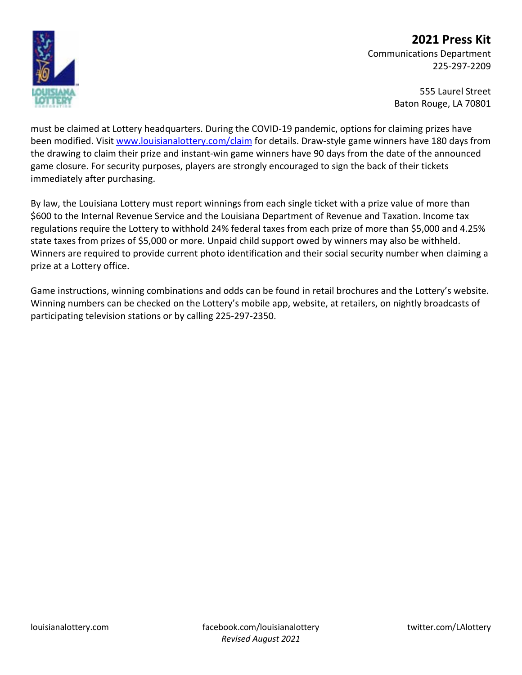

Communications Department 225-297-2209

> 555 Laurel Street Baton Rouge, LA 70801

must be claimed at Lottery headquarters. During the COVID-19 pandemic, options for claiming prizes have been modified. Visit [www.louisianalottery.com/claim](http://www.louisianalottery.com/claim) for details. Draw-style game winners have 180 days from the drawing to claim their prize and instant-win game winners have 90 days from the date of the announced game closure. For security purposes, players are strongly encouraged to sign the back of their tickets immediately after purchasing.

By law, the Louisiana Lottery must report winnings from each single ticket with a prize value of more than \$600 to the Internal Revenue Service and the Louisiana Department of Revenue and Taxation. Income tax regulations require the Lottery to withhold 24% federal taxes from each prize of more than \$5,000 and 4.25% state taxes from prizes of \$5,000 or more. Unpaid child support owed by winners may also be withheld. Winners are required to provide current photo identification and their social security number when claiming a prize at a Lottery office.

Game instructions, winning combinations and odds can be found in retail brochures and the Lottery's website. Winning numbers can be checked on the Lottery's mobile app, website, at retailers, on nightly broadcasts of participating television stations or by calling 225-297-2350.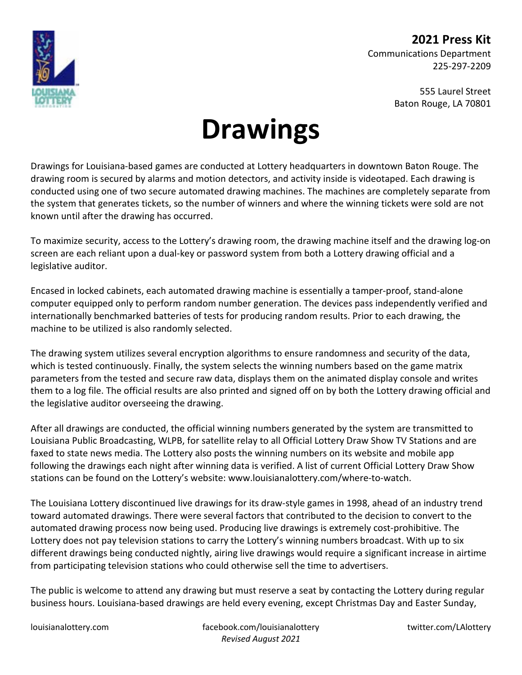

> 555 Laurel Street Baton Rouge, LA 70801

## **Drawings**

Drawings for Louisiana-based games are conducted at Lottery headquarters in downtown Baton Rouge. The drawing room is secured by alarms and motion detectors, and activity inside is videotaped. Each drawing is conducted using one of two secure automated drawing machines. The machines are completely separate from the system that generates tickets, so the number of winners and where the winning tickets were sold are not known until after the drawing has occurred.

To maximize security, access to the Lottery's drawing room, the drawing machine itself and the drawing log-on screen are each reliant upon a dual-key or password system from both a Lottery drawing official and a legislative auditor.

Encased in locked cabinets, each automated drawing machine is essentially a tamper-proof, stand-alone computer equipped only to perform random number generation. The devices pass independently verified and internationally benchmarked batteries of tests for producing random results. Prior to each drawing, the machine to be utilized is also randomly selected.

The drawing system utilizes several encryption algorithms to ensure randomness and security of the data, which is tested continuously. Finally, the system selects the winning numbers based on the game matrix parameters from the tested and secure raw data, displays them on the animated display console and writes them to a log file. The official results are also printed and signed off on by both the Lottery drawing official and the legislative auditor overseeing the drawing.

After all drawings are conducted, the official winning numbers generated by the system are transmitted to Louisiana Public Broadcasting, WLPB, for satellite relay to all Official Lottery Draw Show TV Stations and are faxed to state news media. The Lottery also posts the winning numbers on its website and mobile app following the drawings each night after winning data is verified. A list of current Official Lottery Draw Show stations can be found on the Lottery's website: www.louisianalottery.com/where-to-watch.

The Louisiana Lottery discontinued live drawings for its draw-style games in 1998, ahead of an industry trend toward automated drawings. There were several factors that contributed to the decision to convert to the automated drawing process now being used. Producing live drawings is extremely cost-prohibitive. The Lottery does not pay television stations to carry the Lottery's winning numbers broadcast. With up to six different drawings being conducted nightly, airing live drawings would require a significant increase in airtime from participating television stations who could otherwise sell the time to advertisers.

The public is welcome to attend any drawing but must reserve a seat by contacting the Lottery during regular business hours. Louisiana-based drawings are held every evening, except Christmas Day and Easter Sunday,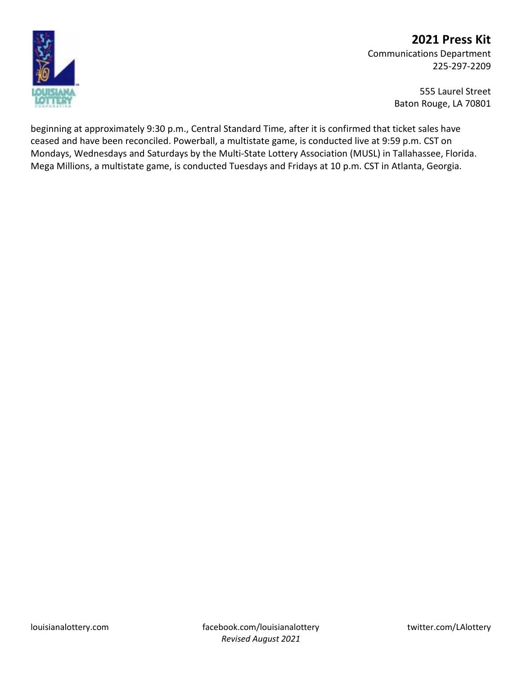

Communications Department 225-297-2209

> 555 Laurel Street Baton Rouge, LA 70801

beginning at approximately 9:30 p.m., Central Standard Time, after it is confirmed that ticket sales have ceased and have been reconciled. Powerball, a multistate game, is conducted live at 9:59 p.m. CST on Mondays, Wednesdays and Saturdays by the Multi-State Lottery Association (MUSL) in Tallahassee, Florida. Mega Millions, a multistate game, is conducted Tuesdays and Fridays at 10 p.m. CST in Atlanta, Georgia.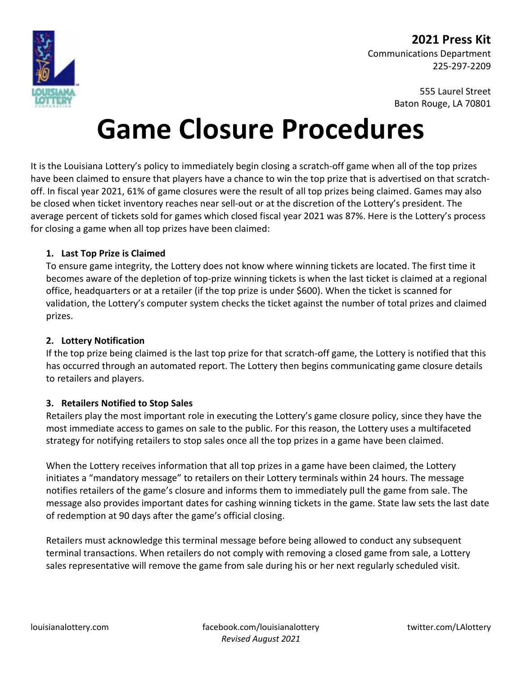

> 555 Laurel Street Baton Rouge, LA 70801

## **Game Closure Procedures**

It is the Louisiana Lottery's policy to immediately begin closing a scratch-off game when all of the top prizes have been claimed to ensure that players have a chance to win the top prize that is advertised on that scratchoff. In fiscal year 2021, 61% of game closures were the result of all top prizes being claimed. Games may also be closed when ticket inventory reaches near sell-out or at the discretion of the Lottery's president. The average percent of tickets sold for games which closed fiscal year 2021 was 87%. Here is the Lottery's process for closing a game when all top prizes have been claimed:

#### **1. Last Top Prize is Claimed**

To ensure game integrity, the Lottery does not know where winning tickets are located. The first time it becomes aware of the depletion of top-prize winning tickets is when the last ticket is claimed at a regional office, headquarters or at a retailer (if the top prize is under \$600). When the ticket is scanned for validation, the Lottery's computer system checks the ticket against the number of total prizes and claimed prizes.

#### **2. Lottery Notification**

If the top prize being claimed is the last top prize for that scratch-off game, the Lottery is notified that this has occurred through an automated report. The Lottery then begins communicating game closure details to retailers and players.

#### **3. Retailers Notified to Stop Sales**

Retailers play the most important role in executing the Lottery's game closure policy, since they have the most immediate access to games on sale to the public. For this reason, the Lottery uses a multifaceted strategy for notifying retailers to stop sales once all the top prizes in a game have been claimed.

When the Lottery receives information that all top prizes in a game have been claimed, the Lottery initiates a "mandatory message" to retailers on their Lottery terminals within 24 hours. The message notifies retailers of the game's closure and informs them to immediately pull the game from sale. The message also provides important dates for cashing winning tickets in the game. State law sets the last date of redemption at 90 days after the game's official closing.

Retailers must acknowledge this terminal message before being allowed to conduct any subsequent terminal transactions. When retailers do not comply with removing a closed game from sale, a Lottery sales representative will remove the game from sale during his or her next regularly scheduled visit.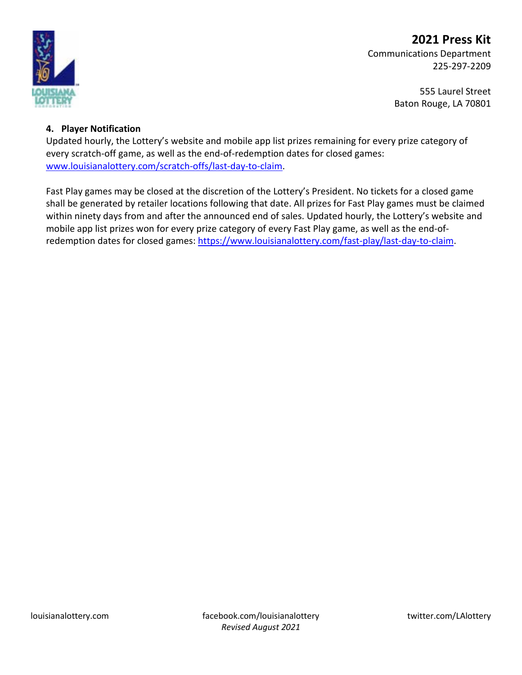

Communications Department 225-297-2209

> 555 Laurel Street Baton Rouge, LA 70801

#### **4. Player Notification**

Updated hourly, the Lottery's website and mobile app list prizes remaining for every prize category of every scratch-off game, as well as the end-of-redemption dates for closed games: [www.louisianalottery.com/scratch-offs/last-day-to-claim.](http://www.louisianalottery.com/scratch-offs/last-day-to-claim)

Fast Play games may be closed at the discretion of the Lottery's President. No tickets for a closed game shall be generated by retailer locations following that date. All prizes for Fast Play games must be claimed within ninety days from and after the announced end of sales. Updated hourly, the Lottery's website and mobile app list prizes won for every prize category of every Fast Play game, as well as the end-ofredemption dates for closed games: [https://www.louisianalottery.com/fast-play/last-day-to-claim.](https://www.louisianalottery.com/fast-play/last-day-to-claim)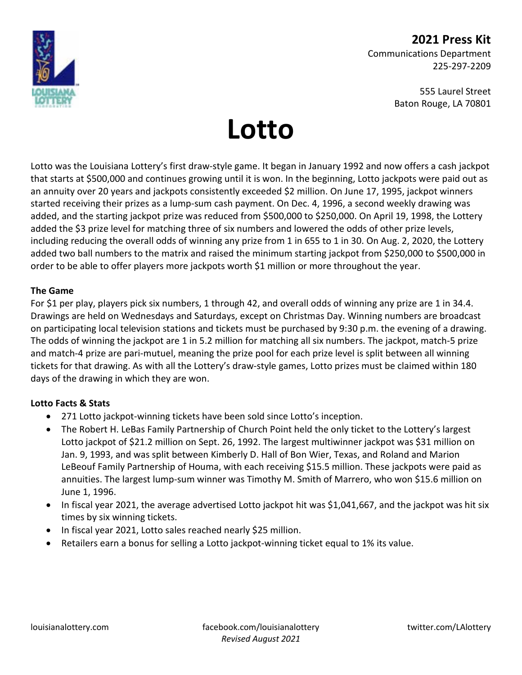

Communications Department 225-297-2209

> 555 Laurel Street Baton Rouge, LA 70801

## **Lotto**

Lotto was the Louisiana Lottery's first draw-style game. It began in January 1992 and now offers a cash jackpot that starts at \$500,000 and continues growing until it is won. In the beginning, Lotto jackpots were paid out as an annuity over 20 years and jackpots consistently exceeded \$2 million. On June 17, 1995, jackpot winners started receiving their prizes as a lump-sum cash payment. On Dec. 4, 1996, a second weekly drawing was added, and the starting jackpot prize was reduced from \$500,000 to \$250,000. On April 19, 1998, the Lottery added the \$3 prize level for matching three of six numbers and lowered the odds of other prize levels, including reducing the overall odds of winning any prize from 1 in 655 to 1 in 30. On Aug. 2, 2020, the Lottery added two ball numbers to the matrix and raised the minimum starting jackpot from \$250,000 to \$500,000 in order to be able to offer players more jackpots worth \$1 million or more throughout the year.

#### **The Game**

For \$1 per play, players pick six numbers, 1 through 42, and overall odds of winning any prize are 1 in 34.4. Drawings are held on Wednesdays and Saturdays, except on Christmas Day. Winning numbers are broadcast on participating local television stations and tickets must be purchased by 9:30 p.m. the evening of a drawing. The odds of winning the jackpot are 1 in 5.2 million for matching all six numbers. The jackpot, match-5 prize and match-4 prize are pari-mutuel, meaning the prize pool for each prize level is split between all winning tickets for that drawing. As with all the Lottery's draw-style games, Lotto prizes must be claimed within 180 days of the drawing in which they are won.

#### **Lotto Facts & Stats**

- 271 Lotto jackpot-winning tickets have been sold since Lotto's inception.
- The Robert H. LeBas Family Partnership of Church Point held the only ticket to the Lottery's largest Lotto jackpot of \$21.2 million on Sept. 26, 1992. The largest multiwinner jackpot was \$31 million on Jan. 9, 1993, and was split between Kimberly D. Hall of Bon Wier, Texas, and Roland and Marion LeBeouf Family Partnership of Houma, with each receiving \$15.5 million. These jackpots were paid as annuities. The largest lump-sum winner was Timothy M. Smith of Marrero, who won \$15.6 million on June 1, 1996.
- In fiscal year 2021, the average advertised Lotto jackpot hit was \$1,041,667, and the jackpot was hit six times by six winning tickets.
- In fiscal year 2021, Lotto sales reached nearly \$25 million.
- Retailers earn a bonus for selling a Lotto jackpot-winning ticket equal to 1% its value.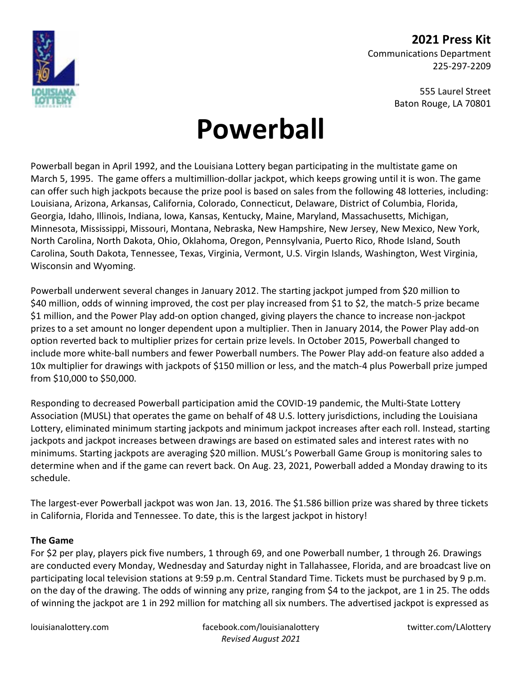

> 555 Laurel Street Baton Rouge, LA 70801

## **Powerball**

Powerball began in April 1992, and the Louisiana Lottery began participating in the multistate game on March 5, 1995. The game offers a multimillion-dollar jackpot, which keeps growing until it is won. The game can offer such high jackpots because the prize pool is based on sales from the following 48 lotteries, including: Louisiana, Arizona, Arkansas, California, Colorado, Connecticut, Delaware, District of Columbia, Florida, Georgia, Idaho, Illinois, Indiana, Iowa, Kansas, Kentucky, Maine, Maryland, Massachusetts, Michigan, Minnesota, Mississippi, Missouri, Montana, Nebraska, New Hampshire, New Jersey, New Mexico, New York, North Carolina, North Dakota, Ohio, Oklahoma, Oregon, Pennsylvania, Puerto Rico, Rhode Island, South Carolina, South Dakota, Tennessee, Texas, Virginia, Vermont, U.S. Virgin Islands, Washington, West Virginia, Wisconsin and Wyoming.

Powerball underwent several changes in January 2012. The starting jackpot jumped from \$20 million to \$40 million, odds of winning improved, the cost per play increased from \$1 to \$2, the match-5 prize became \$1 million, and the Power Play add-on option changed, giving players the chance to increase non-jackpot prizes to a set amount no longer dependent upon a multiplier. Then in January 2014, the Power Play add-on option reverted back to multiplier prizes for certain prize levels. In October 2015, Powerball changed to include more white-ball numbers and fewer Powerball numbers. The Power Play add-on feature also added a 10x multiplier for drawings with jackpots of \$150 million or less, and the match-4 plus Powerball prize jumped from \$10,000 to \$50,000.

Responding to decreased Powerball participation amid the COVID-19 pandemic, the Multi-State Lottery Association (MUSL) that operates the game on behalf of 48 U.S. lottery jurisdictions, including the Louisiana Lottery, eliminated minimum starting jackpots and minimum jackpot increases after each roll. Instead, starting jackpots and jackpot increases between drawings are based on estimated sales and interest rates with no minimums. Starting jackpots are averaging \$20 million. MUSL's Powerball Game Group is monitoring sales to determine when and if the game can revert back. On Aug. 23, 2021, Powerball added a Monday drawing to its schedule.

The largest-ever Powerball jackpot was won Jan. 13, 2016. The \$1.586 billion prize was shared by three tickets in California, Florida and Tennessee. To date, this is the largest jackpot in history!

#### **The Game**

For \$2 per play, players pick five numbers, 1 through 69, and one Powerball number, 1 through 26. Drawings are conducted every Monday, Wednesday and Saturday night in Tallahassee, Florida, and are broadcast live on participating local television stations at 9:59 p.m. Central Standard Time. Tickets must be purchased by 9 p.m. on the day of the drawing. The odds of winning any prize, ranging from \$4 to the jackpot, are 1 in 25. The odds of winning the jackpot are 1 in 292 million for matching all six numbers. The advertised jackpot is expressed as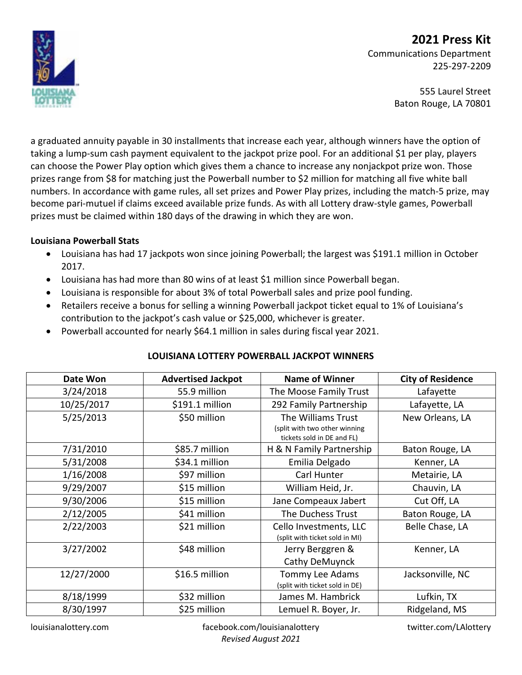

Communications Department 225-297-2209

> 555 Laurel Street Baton Rouge, LA 70801

a graduated annuity payable in 30 installments that increase each year, although winners have the option of taking a lump-sum cash payment equivalent to the jackpot prize pool. For an additional \$1 per play, players can choose the Power Play option which gives them a chance to increase any nonjackpot prize won. Those prizes range from \$8 for matching just the Powerball number to \$2 million for matching all five white ball numbers. In accordance with game rules, all set prizes and Power Play prizes, including the match-5 prize, may become pari-mutuel if claims exceed available prize funds. As with all Lottery draw-style games, Powerball prizes must be claimed within 180 days of the drawing in which they are won.

#### **Louisiana Powerball Stats**

- Louisiana has had 17 jackpots won since joining Powerball; the largest was \$191.1 million in October 2017.
- Louisiana has had more than 80 wins of at least \$1 million since Powerball began.
- Louisiana is responsible for about 3% of total Powerball sales and prize pool funding.
- Retailers receive a bonus for selling a winning Powerball jackpot ticket equal to 1% of Louisiana's contribution to the jackpot's cash value or \$25,000, whichever is greater.
- Powerball accounted for nearly \$64.1 million in sales during fiscal year 2021.

#### **LOUISIANA LOTTERY POWERBALL JACKPOT WINNERS**

| Date Won   | <b>Advertised Jackpot</b> | <b>Name of Winner</b>                                                             | <b>City of Residence</b> |
|------------|---------------------------|-----------------------------------------------------------------------------------|--------------------------|
| 3/24/2018  | 55.9 million              | The Moose Family Trust                                                            | Lafayette                |
| 10/25/2017 | \$191.1 million           | 292 Family Partnership                                                            | Lafayette, LA            |
| 5/25/2013  | \$50 million              | The Williams Trust<br>(split with two other winning<br>tickets sold in DE and FL) | New Orleans, LA          |
| 7/31/2010  | \$85.7 million            | H & N Family Partnership                                                          | Baton Rouge, LA          |
| 5/31/2008  | \$34.1 million            | Emilia Delgado                                                                    | Kenner, LA               |
| 1/16/2008  | \$97 million              | Carl Hunter                                                                       | Metairie, LA             |
| 9/29/2007  | \$15 million              | William Heid, Jr.                                                                 | Chauvin, LA              |
| 9/30/2006  | \$15 million              | Jane Compeaux Jabert                                                              | Cut Off, LA              |
| 2/12/2005  | \$41 million              | The Duchess Trust                                                                 | Baton Rouge, LA          |
| 2/22/2003  | \$21 million              | Cello Investments, LLC<br>(split with ticket sold in MI)                          | Belle Chase, LA          |
| 3/27/2002  | \$48 million              | Jerry Berggren &<br>Cathy DeMuynck                                                | Kenner, LA               |
| 12/27/2000 | \$16.5 million            | <b>Tommy Lee Adams</b><br>(split with ticket sold in DE)                          | Jacksonville, NC         |
| 8/18/1999  | \$32 million              | James M. Hambrick                                                                 | Lufkin, TX               |
| 8/30/1997  | \$25 million              | Lemuel R. Boyer, Jr.                                                              | Ridgeland, MS            |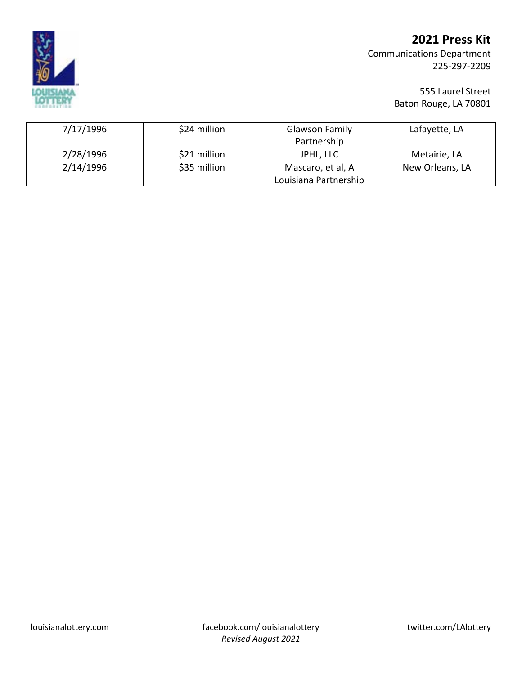Communications Department 225-297-2209





| 7/17/1996 | \$24 million | <b>Glawson Family</b> | Lafayette, LA   |
|-----------|--------------|-----------------------|-----------------|
|           |              | Partnership           |                 |
| 2/28/1996 | \$21 million | JPHL, LLC             | Metairie, LA    |
| 2/14/1996 | \$35 million | Mascaro, et al, A     | New Orleans, LA |
|           |              | Louisiana Partnership |                 |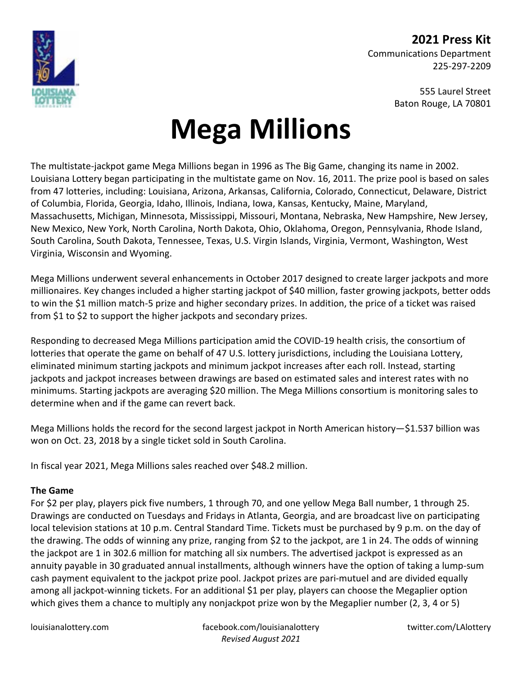

> 555 Laurel Street Baton Rouge, LA 70801

## **Mega Millions**

The multistate-jackpot game Mega Millions began in 1996 as The Big Game, changing its name in 2002. Louisiana Lottery began participating in the multistate game on Nov. 16, 2011. The prize pool is based on sales from 47 lotteries, including: Louisiana, Arizona, Arkansas, California, Colorado, Connecticut, Delaware, District of Columbia, Florida, Georgia, Idaho, Illinois, Indiana, Iowa, Kansas, Kentucky, Maine, Maryland, Massachusetts, Michigan, Minnesota, Mississippi, Missouri, Montana, Nebraska, New Hampshire, New Jersey, New Mexico, New York, North Carolina, North Dakota, Ohio, Oklahoma, Oregon, Pennsylvania, Rhode Island, South Carolina, South Dakota, Tennessee, Texas, U.S. Virgin Islands, Virginia, Vermont, Washington, West Virginia, Wisconsin and Wyoming.

Mega Millions underwent several enhancements in October 2017 designed to create larger jackpots and more millionaires. Key changes included a higher starting jackpot of \$40 million, faster growing jackpots, better odds to win the \$1 million match-5 prize and higher secondary prizes. In addition, the price of a ticket was raised from \$1 to \$2 to support the higher jackpots and secondary prizes.

Responding to decreased Mega Millions participation amid the COVID-19 health crisis, the consortium of lotteries that operate the game on behalf of 47 U.S. lottery jurisdictions, including the Louisiana Lottery, eliminated minimum starting jackpots and minimum jackpot increases after each roll. Instead, starting jackpots and jackpot increases between drawings are based on estimated sales and interest rates with no minimums. Starting jackpots are averaging \$20 million. The Mega Millions consortium is monitoring sales to determine when and if the game can revert back.

Mega Millions holds the record for the second largest jackpot in North American history—\$1.537 billion was won on Oct. 23, 2018 by a single ticket sold in South Carolina.

In fiscal year 2021, Mega Millions sales reached over \$48.2 million.

#### **The Game**

For \$2 per play, players pick five numbers, 1 through 70, and one yellow Mega Ball number, 1 through 25. Drawings are conducted on Tuesdays and Fridays in Atlanta, Georgia, and are broadcast live on participating local television stations at 10 p.m. Central Standard Time. Tickets must be purchased by 9 p.m. on the day of the drawing. The odds of winning any prize, ranging from \$2 to the jackpot, are 1 in 24. The odds of winning the jackpot are 1 in 302.6 million for matching all six numbers. The advertised jackpot is expressed as an annuity payable in 30 graduated annual installments, although winners have the option of taking a lump-sum cash payment equivalent to the jackpot prize pool. Jackpot prizes are pari-mutuel and are divided equally among all jackpot-winning tickets. For an additional \$1 per play, players can choose the Megaplier option which gives them a chance to multiply any nonjackpot prize won by the Megaplier number (2, 3, 4 or 5)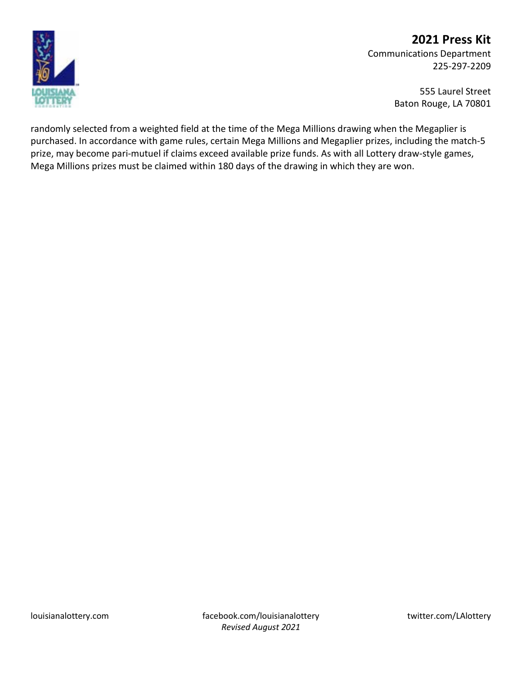

Communications Department 225-297-2209

> 555 Laurel Street Baton Rouge, LA 70801

randomly selected from a weighted field at the time of the Mega Millions drawing when the Megaplier is purchased. In accordance with game rules, certain Mega Millions and Megaplier prizes, including the match-5 prize, may become pari-mutuel if claims exceed available prize funds. As with all Lottery draw-style games, Mega Millions prizes must be claimed within 180 days of the drawing in which they are won.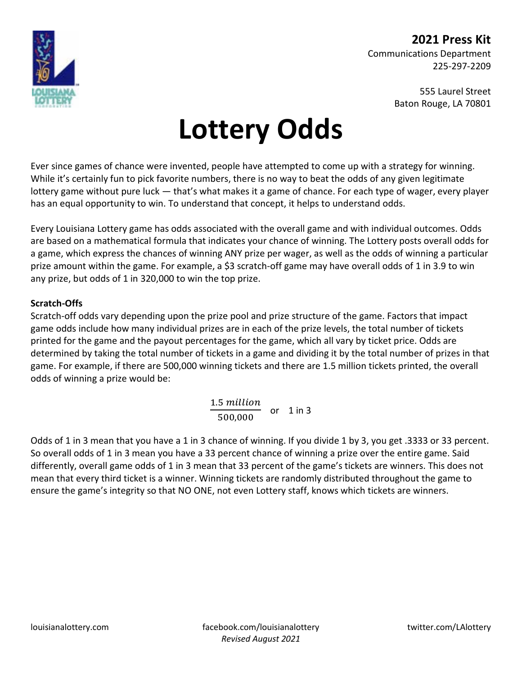

> 555 Laurel Street Baton Rouge, LA 70801

## **Lottery Odds**

Ever since games of chance were invented, people have attempted to come up with a strategy for winning. While it's certainly fun to pick favorite numbers, there is no way to beat the odds of any given legitimate lottery game without pure luck — that's what makes it a game of chance. For each type of wager, every player has an equal opportunity to win. To understand that concept, it helps to understand odds.

Every Louisiana Lottery game has odds associated with the overall game and with individual outcomes. Odds are based on a mathematical formula that indicates your chance of winning. The Lottery posts overall odds for a game, which express the chances of winning ANY prize per wager, as well as the odds of winning a particular prize amount within the game. For example, a \$3 scratch-off game may have overall odds of 1 in 3.9 to win any prize, but odds of 1 in 320,000 to win the top prize.

#### **Scratch-Offs**

Scratch-off odds vary depending upon the prize pool and prize structure of the game. Factors that impact game odds include how many individual prizes are in each of the prize levels, the total number of tickets printed for the game and the payout percentages for the game, which all vary by ticket price. Odds are determined by taking the total number of tickets in a game and dividing it by the total number of prizes in that game. For example, if there are 500,000 winning tickets and there are 1.5 million tickets printed, the overall odds of winning a prize would be:

 $\frac{1.5 \text{ million}}{500,000}$  or 1 in 3

Odds of 1 in 3 mean that you have a 1 in 3 chance of winning. If you divide 1 by 3, you get .3333 or 33 percent. So overall odds of 1 in 3 mean you have a 33 percent chance of winning a prize over the entire game. Said differently, overall game odds of 1 in 3 mean that 33 percent of the game's tickets are winners. This does not mean that every third ticket is a winner. Winning tickets are randomly distributed throughout the game to ensure the game's integrity so that NO ONE, not even Lottery staff, knows which tickets are winners.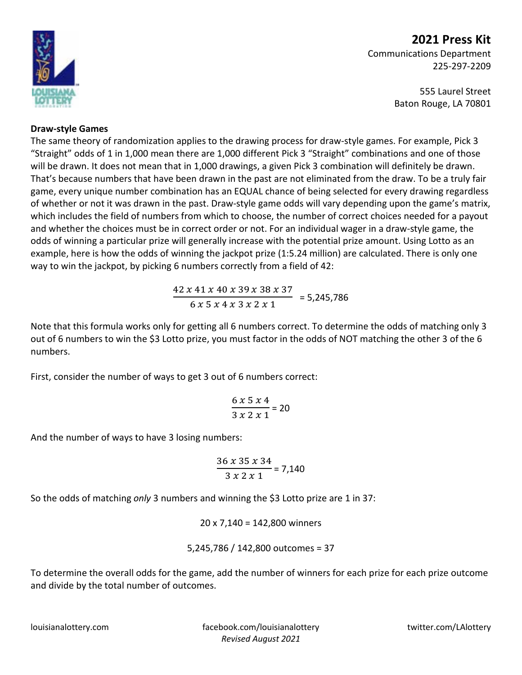

Communications Department 225-297-2209

> 555 Laurel Street Baton Rouge, LA 70801

#### **Draw-style Games**

The same theory of randomization applies to the drawing process for draw-style games. For example, Pick 3 "Straight" odds of 1 in 1,000 mean there are 1,000 different Pick 3 "Straight" combinations and one of those will be drawn. It does not mean that in 1,000 drawings, a given Pick 3 combination will definitely be drawn. That's because numbers that have been drawn in the past are not eliminated from the draw. To be a truly fair game, every unique number combination has an EQUAL chance of being selected for every drawing regardless of whether or not it was drawn in the past. Draw-style game odds will vary depending upon the game's matrix, which includes the field of numbers from which to choose, the number of correct choices needed for a payout and whether the choices must be in correct order or not. For an individual wager in a draw-style game, the odds of winning a particular prize will generally increase with the potential prize amount. Using Lotto as an example, here is how the odds of winning the jackpot prize (1:5.24 million) are calculated. There is only one way to win the jackpot, by picking 6 numbers correctly from a field of 42:

 $\frac{42 x 41 x 40 x 39 x 38 x 37}{6 x 5 x 4 x 3 x 2 x 1} = 5,245,786$ 

Note that this formula works only for getting all 6 numbers correct. To determine the odds of matching only 3 out of 6 numbers to win the \$3 Lotto prize, you must factor in the odds of NOT matching the other 3 of the 6 numbers.

First, consider the number of ways to get 3 out of 6 numbers correct:

$$
\frac{6 x 5 x 4}{3 x 2 x 1} = 20
$$

And the number of ways to have 3 losing numbers:

$$
\frac{36 x 35 x 34}{3 x 2 x 1} = 7,140
$$

So the odds of matching *only* 3 numbers and winning the \$3 Lotto prize are 1 in 37:

20 x 7,140 = 142,800 winners

5,245,786 / 142,800 outcomes = 37

To determine the overall odds for the game, add the number of winners for each prize for each prize outcome and divide by the total number of outcomes.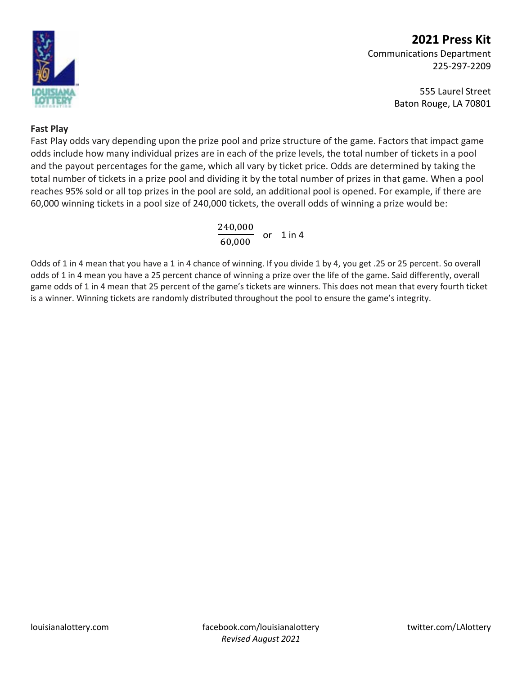

Communications Department 225-297-2209

> 555 Laurel Street Baton Rouge, LA 70801

#### **Fast Play**

Fast Play odds vary depending upon the prize pool and prize structure of the game. Factors that impact game odds include how many individual prizes are in each of the prize levels, the total number of tickets in a pool and the payout percentages for the game, which all vary by ticket price. Odds are determined by taking the total number of tickets in a prize pool and dividing it by the total number of prizes in that game. When a pool reaches 95% sold or all top prizes in the pool are sold, an additional pool is opened. For example, if there are 60,000 winning tickets in a pool size of 240,000 tickets, the overall odds of winning a prize would be:

 $\frac{240,000}{60,000}$  or 1 in 4

Odds of 1 in 4 mean that you have a 1 in 4 chance of winning. If you divide 1 by 4, you get .25 or 25 percent. So overall odds of 1 in 4 mean you have a 25 percent chance of winning a prize over the life of the game. Said differently, overall game odds of 1 in 4 mean that 25 percent of the game's tickets are winners. This does not mean that every fourth ticket is a winner. Winning tickets are randomly distributed throughout the pool to ensure the game's integrity.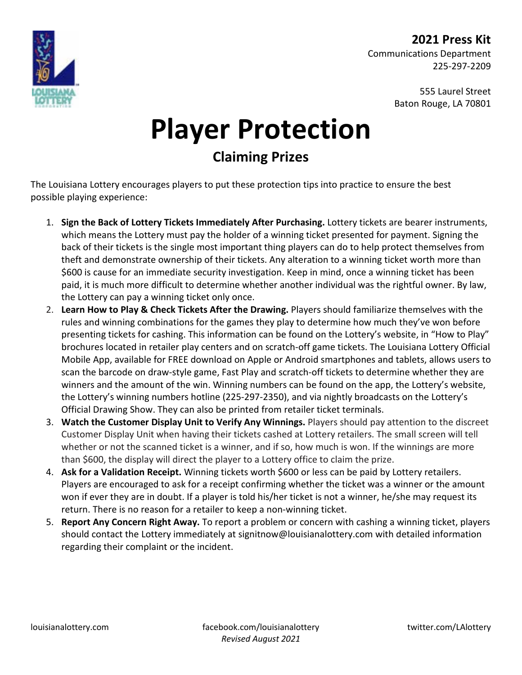> 555 Laurel Street Baton Rouge, LA 70801

# **Player Protection**

### **Claiming Prizes**

The Louisiana Lottery encourages players to put these protection tips into practice to ensure the best possible playing experience:

- 1. **Sign the Back of Lottery Tickets Immediately After Purchasing.** Lottery tickets are bearer instruments, which means the Lottery must pay the holder of a winning ticket presented for payment. Signing the back of their tickets is the single most important thing players can do to help protect themselves from theft and demonstrate ownership of their tickets. Any alteration to a winning ticket worth more than \$600 is cause for an immediate security investigation. Keep in mind, once a winning ticket has been paid, it is much more difficult to determine whether another individual was the rightful owner. By law, the Lottery can pay a winning ticket only once.
- 2. **Learn How to Play & Check Tickets After the Drawing.** Players should familiarize themselves with the rules and winning combinations for the games they play to determine how much they've won before presenting tickets for cashing. This information can be found on the Lottery's website, in "How to Play" brochures located in retailer play centers and on scratch-off game tickets. The Louisiana Lottery Official Mobile App, available for FREE download on Apple or Android smartphones and tablets, allows users to scan the barcode on draw-style game, Fast Play and scratch-off tickets to determine whether they are winners and the amount of the win. Winning numbers can be found on the app, the Lottery's website, the Lottery's winning numbers hotline (225-297-2350), and via nightly broadcasts on the Lottery's Official Drawing Show. They can also be printed from retailer ticket terminals.
- 3. **Watch the Customer Display Unit to Verify Any Winnings.** Players should pay attention to the discreet Customer Display Unit when having their tickets cashed at Lottery retailers. The small screen will tell whether or not the scanned ticket is a winner, and if so, how much is won. If the winnings are more than \$600, the display will direct the player to a Lottery office to claim the prize.
- 4. **Ask for a Validation Receipt.** Winning tickets worth \$600 or less can be paid by Lottery retailers. Players are encouraged to ask for a receipt confirming whether the ticket was a winner or the amount won if ever they are in doubt. If a player is told his/her ticket is not a winner, he/she may request its return. There is no reason for a retailer to keep a non-winning ticket.
- 5. **Report Any Concern Right Away.** To report a problem or concern with cashing a winning ticket, players should contact the Lottery immediately at signitnow@louisianalottery.com with detailed information regarding their complaint or the incident.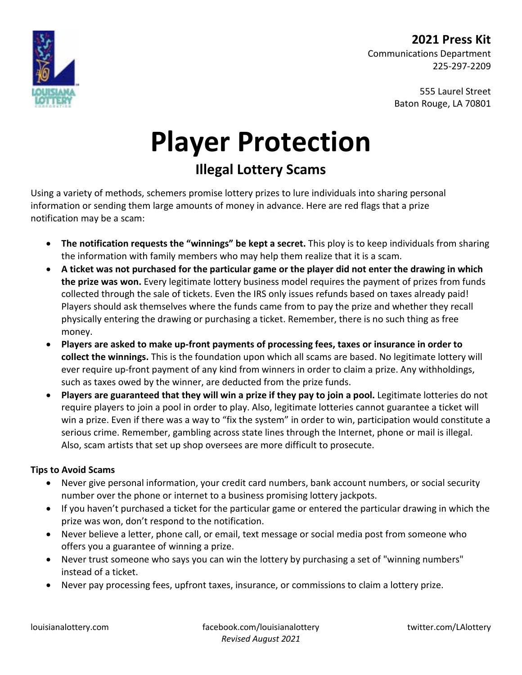

Communications Department 225-297-2209

> 555 Laurel Street Baton Rouge, LA 70801

# **Player Protection**

### **Illegal Lottery Scams**

Using a variety of methods, schemers promise lottery prizes to lure individuals into sharing personal information or sending them large amounts of money in advance. Here are red flags that a prize notification may be a scam:

- **The notification requests the "winnings" be kept a secret.** This ploy is to keep individuals from sharing the information with family members who may help them realize that it is a scam.
- **A ticket was not purchased for the particular game or the player did not enter the drawing in which the prize was won.** Every legitimate lottery business model requires the payment of prizes from funds collected through the sale of tickets. Even the IRS only issues refunds based on taxes already paid! Players should ask themselves where the funds came from to pay the prize and whether they recall physically entering the drawing or purchasing a ticket. Remember, there is no such thing as free money.
- **Players are asked to make up-front payments of processing fees, taxes or insurance in order to collect the winnings.** This is the foundation upon which all scams are based. No legitimate lottery will ever require up-front payment of any kind from winners in order to claim a prize. Any withholdings, such as taxes owed by the winner, are deducted from the prize funds.
- **Players are guaranteed that they will win a prize if they pay to join a pool.** Legitimate lotteries do not require players to join a pool in order to play. Also, legitimate lotteries cannot guarantee a ticket will win a prize. Even if there was a way to "fix the system" in order to win, participation would constitute a serious crime. Remember, gambling across state lines through the Internet, phone or mail is illegal. Also, scam artists that set up shop oversees are more difficult to prosecute.

#### **Tips to Avoid Scams**

- Never give personal information, your credit card numbers, bank account numbers, or social security number over the phone or internet to a business promising lottery jackpots.
- If you haven't purchased a ticket for the particular game or entered the particular drawing in which the prize was won, don't respond to the notification.
- Never believe a letter, phone call, or email, text message or social media post from someone who offers you a guarantee of winning a prize.
- Never trust someone who says you can win the lottery by purchasing a set of "winning numbers" instead of a ticket.
- Never pay processing fees, upfront taxes, insurance, or commissions to claim a lottery prize.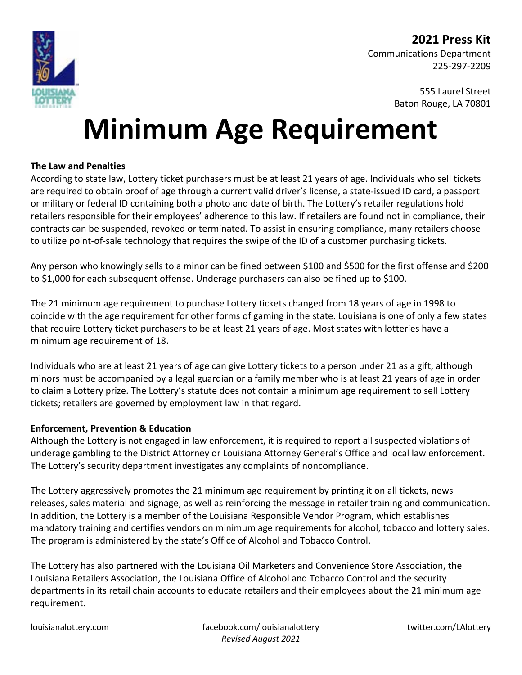

> 555 Laurel Street Baton Rouge, LA 70801

## **Minimum Age Requirement**

#### **The Law and Penalties**

According to state law, Lottery ticket purchasers must be at least 21 years of age. Individuals who sell tickets are required to obtain proof of age through a current valid driver's license, a state-issued ID card, a passport or military or federal ID containing both a photo and date of birth. The Lottery's retailer regulations hold retailers responsible for their employees' adherence to this law. If retailers are found not in compliance, their contracts can be suspended, revoked or terminated. To assist in ensuring compliance, many retailers choose to utilize point-of-sale technology that requires the swipe of the ID of a customer purchasing tickets.

Any person who knowingly sells to a minor can be fined between \$100 and \$500 for the first offense and \$200 to \$1,000 for each subsequent offense. Underage purchasers can also be fined up to \$100.

The 21 minimum age requirement to purchase Lottery tickets changed from 18 years of age in 1998 to coincide with the age requirement for other forms of gaming in the state. Louisiana is one of only a few states that require Lottery ticket purchasers to be at least 21 years of age. Most states with lotteries have a minimum age requirement of 18.

Individuals who are at least 21 years of age can give Lottery tickets to a person under 21 as a gift, although minors must be accompanied by a legal guardian or a family member who is at least 21 years of age in order to claim a Lottery prize. The Lottery's statute does not contain a minimum age requirement to sell Lottery tickets; retailers are governed by employment law in that regard.

#### **Enforcement, Prevention & Education**

Although the Lottery is not engaged in law enforcement, it is required to report all suspected violations of underage gambling to the District Attorney or Louisiana Attorney General's Office and local law enforcement. The Lottery's security department investigates any complaints of noncompliance.

The Lottery aggressively promotes the 21 minimum age requirement by printing it on all tickets, news releases, sales material and signage, as well as reinforcing the message in retailer training and communication. In addition, the Lottery is a member of the Louisiana Responsible Vendor Program, which establishes mandatory training and certifies vendors on minimum age requirements for alcohol, tobacco and lottery sales. The program is administered by the state's Office of Alcohol and Tobacco Control.

The Lottery has also partnered with the Louisiana Oil Marketers and Convenience Store Association, the Louisiana Retailers Association, the Louisiana Office of Alcohol and Tobacco Control and the security departments in its retail chain accounts to educate retailers and their employees about the 21 minimum age requirement.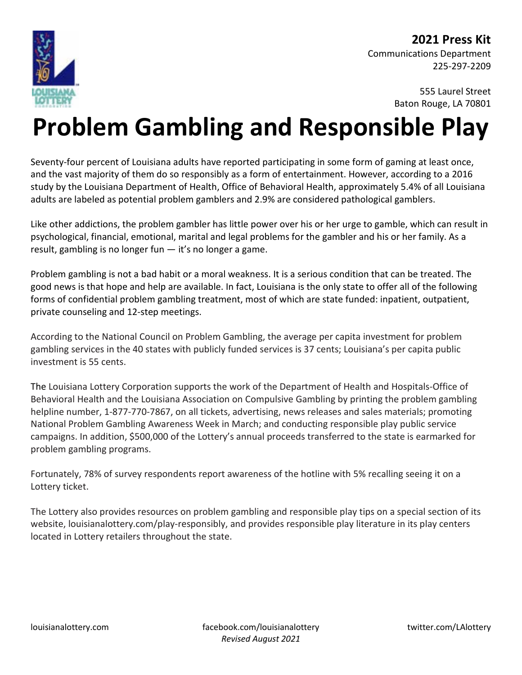

> 555 Laurel Street Baton Rouge, LA 70801

## **Problem Gambling and Responsible Play**

Seventy-four percent of Louisiana adults have reported participating in some form of gaming at least once, and the vast majority of them do so responsibly as a form of entertainment. However, according to a 2016 study by the Louisiana Department of Health, Office of Behavioral Health, approximately 5.4% of all Louisiana adults are labeled as potential problem gamblers and 2.9% are considered pathological gamblers.

Like other addictions, the problem gambler has little power over his or her urge to gamble, which can result in psychological, financial, emotional, marital and legal problems for the gambler and his or her family. As a result, gambling is no longer fun — it's no longer a game.

Problem gambling is not a bad habit or a moral weakness. It is a serious condition that can be treated. The good news is that hope and help are available. In fact, Louisiana is the only state to offer all of the following forms of confidential problem gambling treatment, most of which are state funded: inpatient, outpatient, private counseling and 12-step meetings.

According to the National Council on Problem Gambling, the average per capita investment for problem gambling services in the 40 states with publicly funded services is 37 cents; Louisiana's per capita public investment is 55 cents.

The Louisiana Lottery Corporation supports the work of the Department of Health and Hospitals-Office of Behavioral Health and the Louisiana Association on Compulsive Gambling by printing the problem gambling helpline number, 1-877-770-7867, on all tickets, advertising, news releases and sales materials; promoting National Problem Gambling Awareness Week in March; and conducting responsible play public service campaigns. In addition, \$500,000 of the Lottery's annual proceeds transferred to the state is earmarked for problem gambling programs.

Fortunately, 78% of survey respondents report awareness of the hotline with 5% recalling seeing it on a Lottery ticket.

The Lottery also provides resources on problem gambling and responsible play tips on a special section of its website, louisianalottery.com/play-responsibly, and provides responsible play literature in its play centers located in Lottery retailers throughout the state.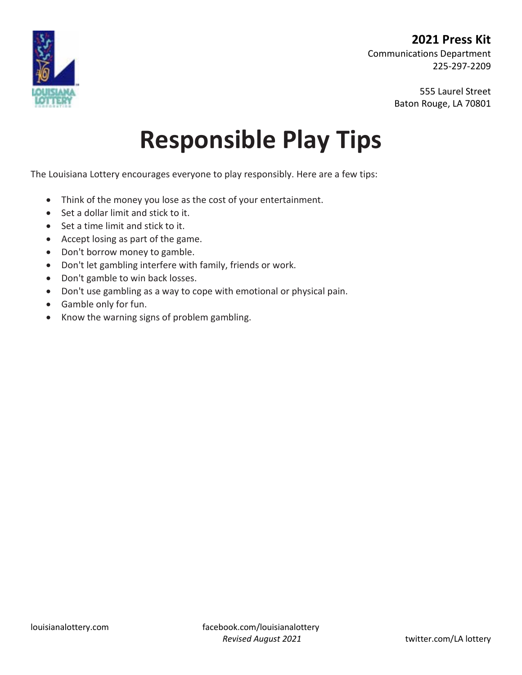

555 Laurel Street Baton Rouge, LA 70801

## **Responsible Play Tips**

The Louisiana Lottery encourages everyone to play responsibly. Here are a few tips:

- Think of the money you lose as the cost of your entertainment.
- Set a dollar limit and stick to it.
- Set a time limit and stick to it.
- Accept losing as part of the game.
- Don't borrow money to gamble.
- Don't let gambling interfere with family, friends or work.
- Don't gamble to win back losses.
- Don't use gambling as a way to cope with emotional or physical pain.
- Gamble only for fun.
- Know the warning signs of problem gambling.

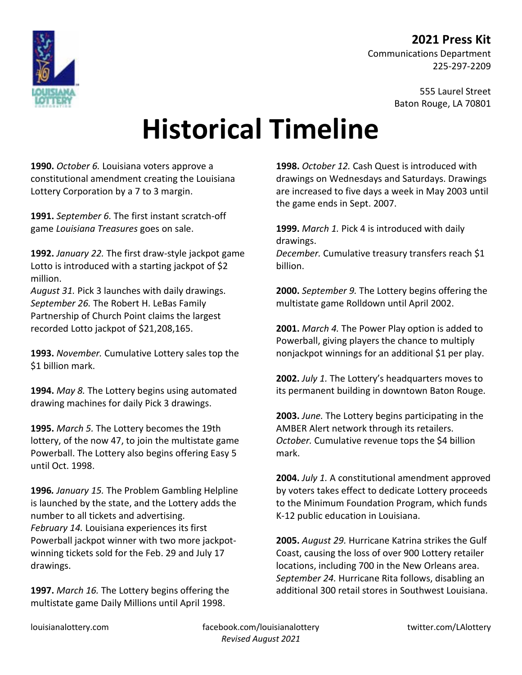

555 Laurel Street Baton Rouge, LA 70801

## **Historical Timeline**

**1990.** *October 6.* Louisiana voters approve a constitutional amendment creating the Louisiana Lottery Corporation by a 7 to 3 margin.

**1991.** *September 6.* The first instant scratch-off game *Louisiana Treasures* goes on sale.

**1992.** *January 22.* The first draw-style jackpot game Lotto is introduced with a starting jackpot of \$2 million.

*August 31.* Pick 3 launches with daily drawings. *September 26.* The Robert H. LeBas Family Partnership of Church Point claims the largest recorded Lotto jackpot of \$21,208,165.

**1993.** *November.* Cumulative Lottery sales top the \$1 billion mark.

**1994.** *May 8.* The Lottery begins using automated drawing machines for daily Pick 3 drawings.

**1995.** *March 5.* The Lottery becomes the 19th lottery, of the now 47, to join the multistate game Powerball. The Lottery also begins offering Easy 5 until Oct. 1998.

**1996***. January 15.* The Problem Gambling Helpline is launched by the state, and the Lottery adds the number to all tickets and advertising. *February 14.* Louisiana experiences its first Powerball jackpot winner with two more jackpotwinning tickets sold for the Feb. 29 and July 17 drawings.

**1997.** *March 16.* The Lottery begins offering the multistate game Daily Millions until April 1998.

**1998.** *October 12.* Cash Quest is introduced with drawings on Wednesdays and Saturdays. Drawings are increased to five days a week in May 2003 until the game ends in Sept. 2007.

**1999.** *March 1.* Pick 4 is introduced with daily drawings.

*December.* Cumulative treasury transfers reach \$1 billion.

**2000.** *September 9.* The Lottery begins offering the multistate game Rolldown until April 2002.

**2001.** *March 4.* The Power Play option is added to Powerball, giving players the chance to multiply nonjackpot winnings for an additional \$1 per play.

**2002.** *July 1.* The Lottery's headquarters moves to its permanent building in downtown Baton Rouge.

**2003.** *June.* The Lottery begins participating in the AMBER Alert network through its retailers. *October.* Cumulative revenue tops the \$4 billion mark.

**2004.** *July 1.* A constitutional amendment approved by voters takes effect to dedicate Lottery proceeds to the Minimum Foundation Program, which funds K-12 public education in Louisiana.

**2005.** *August 29.* Hurricane Katrina strikes the Gulf Coast, causing the loss of over 900 Lottery retailer locations, including 700 in the New Orleans area. *September 24.* Hurricane Rita follows, disabling an additional 300 retail stores in Southwest Louisiana.

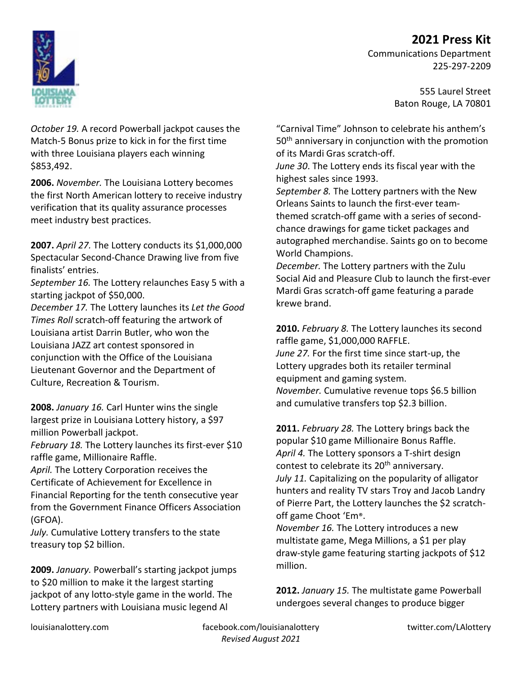

*October 19.* A record Powerball jackpot causes the Match-5 Bonus prize to kick in for the first time with three Louisiana players each winning \$853,492.

**2006.** *November.* The Louisiana Lottery becomes the first North American lottery to receive industry verification that its quality assurance processes meet industry best practices.

**2007.** *April 27.* The Lottery conducts its \$1,000,000 Spectacular Second-Chance Drawing live from five finalists' entries.

*September 16.* The Lottery relaunches Easy 5 with a starting jackpot of \$50,000.

*December 17.* The Lottery launches its *Let the Good Times Roll* scratch-off featuring the artwork of Louisiana artist Darrin Butler, who won the Louisiana JAZZ art contest sponsored in conjunction with the Office of the Louisiana Lieutenant Governor and the Department of Culture, Recreation & Tourism.

**2008.** *January 16.* Carl Hunter wins the single largest prize in Louisiana Lottery history, a \$97 million Powerball jackpot.

*February 18.* The Lottery launches its first-ever \$10 raffle game, Millionaire Raffle.

*April.* The Lottery Corporation receives the Certificate of Achievement for Excellence in Financial Reporting for the tenth consecutive year from the Government Finance Officers Association (GFOA).

*July.* Cumulative Lottery transfers to the state treasury top \$2 billion.

**2009.** *January.* Powerball's starting jackpot jumps to \$20 million to make it the largest starting jackpot of any lotto-style game in the world. The Lottery partners with Louisiana music legend Al

Communications Department 225-297-2209

> 555 Laurel Street Baton Rouge, LA 70801

"Carnival Time" Johnson to celebrate his anthem's 50<sup>th</sup> anniversary in conjunction with the promotion of its Mardi Gras scratch-off.

*June 30*. The Lottery ends its fiscal year with the highest sales since 1993.

*September 8.* The Lottery partners with the New Orleans Saints to launch the first-ever teamthemed scratch-off game with a series of secondchance drawings for game ticket packages and autographed merchandise. Saints go on to become World Champions.

*December.* The Lottery partners with the Zulu Social Aid and Pleasure Club to launch the first-ever Mardi Gras scratch-off game featuring a parade krewe brand.

**2010.** *February 8.* The Lottery launches its second raffle game, \$1,000,000 RAFFLE.

*June 27.* For the first time since start-up, the Lottery upgrades both its retailer terminal equipment and gaming system. *November.* Cumulative revenue tops \$6.5 billion

and cumulative transfers top \$2.3 billion.

**2011.** *February 28.* The Lottery brings back the popular \$10 game Millionaire Bonus Raffle. *April 4.* The Lottery sponsors a T-shirt design contest to celebrate its 20<sup>th</sup> anniversary. *July 11.* Capitalizing on the popularity of alligator hunters and reality TV stars Troy and Jacob Landry of Pierre Part, the Lottery launches the \$2 scratchoff game Choot 'Em®.

*November 16.* The Lottery introduces a new multistate game, Mega Millions, a \$1 per play draw-style game featuring starting jackpots of \$12 million.

**2012.** *January 15.* The multistate game Powerball undergoes several changes to produce bigger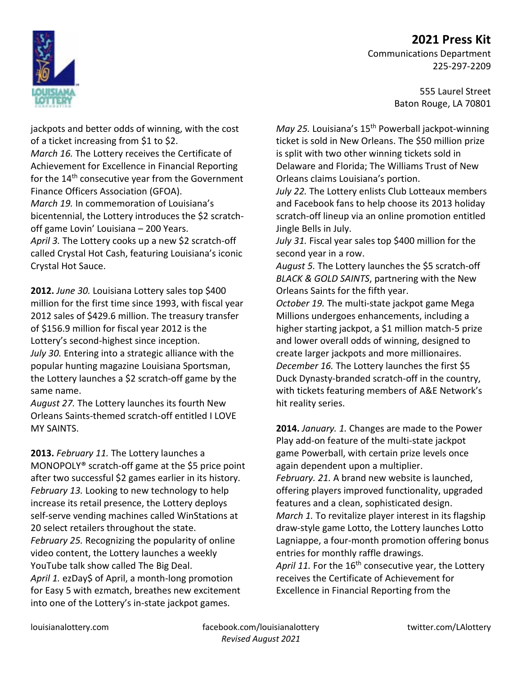

jackpots and better odds of winning, with the cost of a ticket increasing from \$1 to \$2.

*March 16.* The Lottery receives the Certificate of Achievement for Excellence in Financial Reporting for the  $14<sup>th</sup>$  consecutive year from the Government Finance Officers Association (GFOA).

*March 19.* In commemoration of Louisiana's bicentennial, the Lottery introduces the \$2 scratchoff game Lovin' Louisiana – 200 Years.

*April 3.* The Lottery cooks up a new \$2 scratch-off called Crystal Hot Cash, featuring Louisiana's iconic Crystal Hot Sauce.

**2012.** *June 30.* Louisiana Lottery sales top \$400 million for the first time since 1993, with fiscal year 2012 sales of \$429.6 million. The treasury transfer of \$156.9 million for fiscal year 2012 is the Lottery's second-highest since inception. *July 30.* Entering into a strategic alliance with the popular hunting magazine Louisiana Sportsman, the Lottery launches a \$2 scratch-off game by the same name.

*August 27.* The Lottery launches its fourth New Orleans Saints-themed scratch-off entitled I LOVE MY SAINTS.

**2013.** *February 11.* The Lottery launches a MONOPOLY® scratch-off game at the \$5 price point after two successful \$2 games earlier in its history. *February 13.* Looking to new technology to help increase its retail presence, the Lottery deploys self-serve vending machines called WinStations at 20 select retailers throughout the state. *February 25.* Recognizing the popularity of online video content, the Lottery launches a weekly YouTube talk show called The Big Deal. *April 1.* ezDay\$ of April, a month-long promotion for Easy 5 with ezmatch, breathes new excitement into one of the Lottery's in-state jackpot games.

Communications Department 225-297-2209

> 555 Laurel Street Baton Rouge, LA 70801

*May 25.* Louisiana's 15th Powerball jackpot-winning ticket is sold in New Orleans. The \$50 million prize is split with two other winning tickets sold in Delaware and Florida; The Williams Trust of New Orleans claims Louisiana's portion.

*July 22.* The Lottery enlists Club Lotteaux members and Facebook fans to help choose its 2013 holiday scratch-off lineup via an online promotion entitled Jingle Bells in July.

*July 31.* Fiscal year sales top \$400 million for the second year in a row.

*August 5.* The Lottery launches the \$5 scratch-off *BLACK & GOLD SAINTS*, partnering with the New Orleans Saints for the fifth year.

*October 19.* The multi-state jackpot game Mega Millions undergoes enhancements, including a higher starting jackpot, a \$1 million match-5 prize and lower overall odds of winning, designed to create larger jackpots and more millionaires. *December 16.* The Lottery launches the first \$5 Duck Dynasty-branded scratch-off in the country, with tickets featuring members of A&E Network's hit reality series.

**2014.** *January. 1.* Changes are made to the Power Play add-on feature of the multi-state jackpot game Powerball, with certain prize levels once again dependent upon a multiplier. *February. 21.* A brand new website is launched, offering players improved functionality, upgraded features and a clean, sophisticated design. *March 1.* To revitalize player interest in its flagship draw-style game Lotto, the Lottery launches Lotto Lagniappe, a four-month promotion offering bonus entries for monthly raffle drawings. April 11. For the 16<sup>th</sup> consecutive year, the Lottery receives the Certificate of Achievement for Excellence in Financial Reporting from the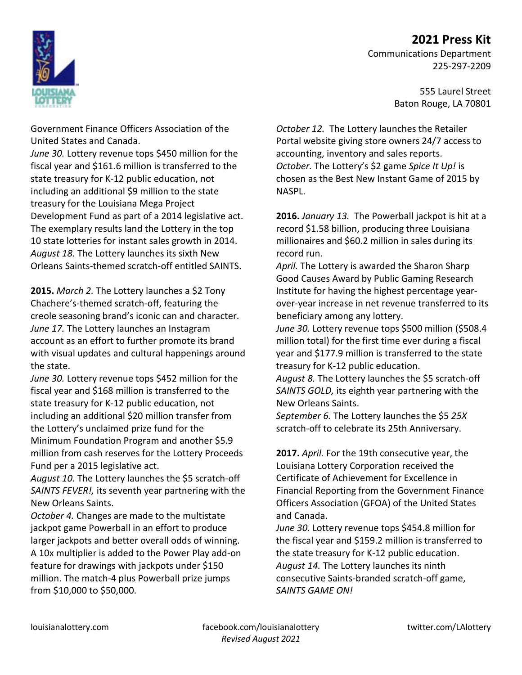555 Laurel Street

Baton Rouge, LA 70801

Communications Department 225-297-2209



Government Finance Officers Association of the United States and Canada.

*June 30.* Lottery revenue tops \$450 million for the fiscal year and \$161.6 million is transferred to the state treasury for K-12 public education, not including an additional \$9 million to the state treasury for the Louisiana Mega Project Development Fund as part of a 2014 legislative act. The exemplary results land the Lottery in the top 10 state lotteries for instant sales growth in 2014. *August 18.* The Lottery launches its sixth New Orleans Saints-themed scratch-off entitled SAINTS.

**2015.** *March 2.* The Lottery launches a \$2 Tony Chachere's-themed scratch-off, featuring the creole seasoning brand's iconic can and character. *June 17.* The Lottery launches an Instagram account as an effort to further promote its brand with visual updates and cultural happenings around the state.

*June 30.* Lottery revenue tops \$452 million for the fiscal year and \$168 million is transferred to the state treasury for K-12 public education, not including an additional \$20 million transfer from the Lottery's unclaimed prize fund for the Minimum Foundation Program and another \$5.9 million from cash reserves for the Lottery Proceeds Fund per a 2015 legislative act.

*August 10.* The Lottery launches the \$5 scratch-off *SAINTS FEVER!,* its seventh year partnering with the New Orleans Saints.

*October 4.* Changes are made to the multistate jackpot game Powerball in an effort to produce larger jackpots and better overall odds of winning. A 10x multiplier is added to the Power Play add-on feature for drawings with jackpots under \$150 million. The match-4 plus Powerball prize jumps from \$10,000 to \$50,000.

*October 12.* The Lottery launches the Retailer Portal website giving store owners 24/7 access to accounting, inventory and sales reports. *October.* The Lottery's \$2 game *Spice It Up!* is chosen as the Best New Instant Game of 2015 by NASPL.

**2016.** *January 13.* The Powerball jackpot is hit at a record \$1.58 billion, producing three Louisiana millionaires and \$60.2 million in sales during its record run.

*April.* The Lottery is awarded the Sharon Sharp Good Causes Award by Public Gaming Research Institute for having the highest percentage yearover-year increase in net revenue transferred to its beneficiary among any lottery.

*June 30.* Lottery revenue tops \$500 million (\$508.4 million total) for the first time ever during a fiscal year and \$177.9 million is transferred to the state treasury for K-12 public education.

*August 8.* The Lottery launches the \$5 scratch-off *SAINTS GOLD,* its eighth year partnering with the New Orleans Saints.

*September 6.* The Lottery launches the \$5 *25X* scratch-off to celebrate its 25th Anniversary.

**2017.** *April.* For the 19th consecutive year, the Louisiana Lottery Corporation received the Certificate of Achievement for Excellence in Financial Reporting from the Government Finance Officers Association (GFOA) of the United States and Canada.

*June 30.* Lottery revenue tops \$454.8 million for the fiscal year and \$159.2 million is transferred to the state treasury for K-12 public education. *August 14.* The Lottery launches its ninth consecutive Saints-branded scratch-off game, *SAINTS GAME ON!*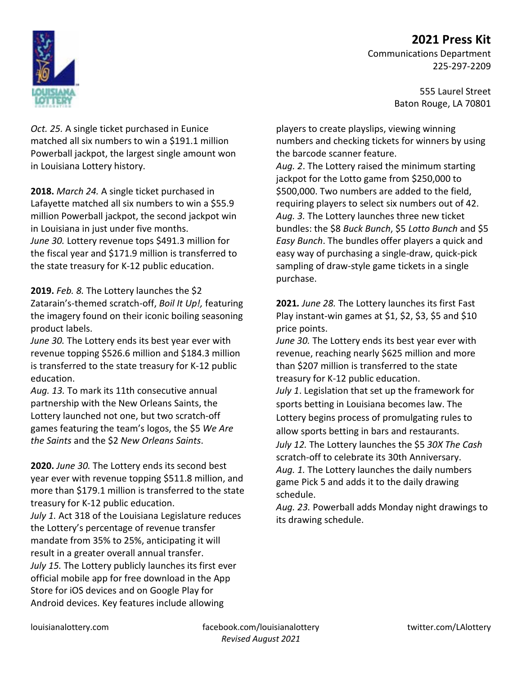Communications Department 225-297-2209

> 555 Laurel Street Baton Rouge, LA 70801

players to create playslips, viewing winning numbers and checking tickets for winners by using the barcode scanner feature. *Aug. 2*. The Lottery raised the minimum starting jackpot for the Lotto game from \$250,000 to \$500,000. Two numbers are added to the field, requiring players to select six numbers out of 42. *Aug. 3.* The Lottery launches three new ticket bundles: the \$8 *Buck Bunch*, \$5 *Lotto Bunch* and \$5 *Easy Bunch*. The bundles offer players a quick and easy way of purchasing a single-draw, quick-pick sampling of draw-style game tickets in a single

**2021***. June 28.* The Lottery launches its first Fast Play instant-win games at \$1, \$2, \$3, \$5 and \$10 price points.

purchase.

*June 30.* The Lottery ends its best year ever with revenue, reaching nearly \$625 million and more than \$207 million is transferred to the state treasury for K-12 public education. *July 1*. Legislation that set up the framework for sports betting in Louisiana becomes law. The

Lottery begins process of promulgating rules to allow sports betting in bars and restaurants. *July 12.* The Lottery launches the \$5 *30X The Cash* scratch-off to celebrate its 30th Anniversary. *Aug. 1.* The Lottery launches the daily numbers game Pick 5 and adds it to the daily drawing schedule.

*Aug. 23.* Powerball adds Monday night drawings to its drawing schedule.



*Oct. 25.* A single ticket purchased in Eunice matched all six numbers to win a \$191.1 million Powerball jackpot, the largest single amount won in Louisiana Lottery history.

**2018.** *March 24.* A single ticket purchased in Lafayette matched all six numbers to win a \$55.9 million Powerball jackpot, the second jackpot win in Louisiana in just under five months. *June 30.* Lottery revenue tops \$491.3 million for the fiscal year and \$171.9 million is transferred to the state treasury for K-12 public education.

**2019.** *Feb. 8.* The Lottery launches the \$2 Zatarain's-themed scratch-off, *Boil It Up!,* featuring the imagery found on their iconic boiling seasoning product labels.

*June 30.* The Lottery ends its best year ever with revenue topping \$526.6 million and \$184.3 million is transferred to the state treasury for K-12 public education.

*Aug. 13.* To mark its 11th consecutive annual partnership with the New Orleans Saints, the Lottery launched not one, but two scratch-off games featuring the team's logos, the \$5 *We Are the Saints* and the \$2 *New Orleans Saints*.

**2020.** *June 30.* The Lottery ends its second best year ever with revenue topping \$511.8 million, and more than \$179.1 million is transferred to the state treasury for K-12 public education. *July 1.* Act 318 of the Louisiana Legislature reduces the Lottery's percentage of revenue transfer mandate from 35% to 25%, anticipating it will result in a greater overall annual transfer. *July 15.* The Lottery publicly launches its first ever official mobile app for free download in the App Store for iOS devices and on Google Play for Android devices. Key features include allowing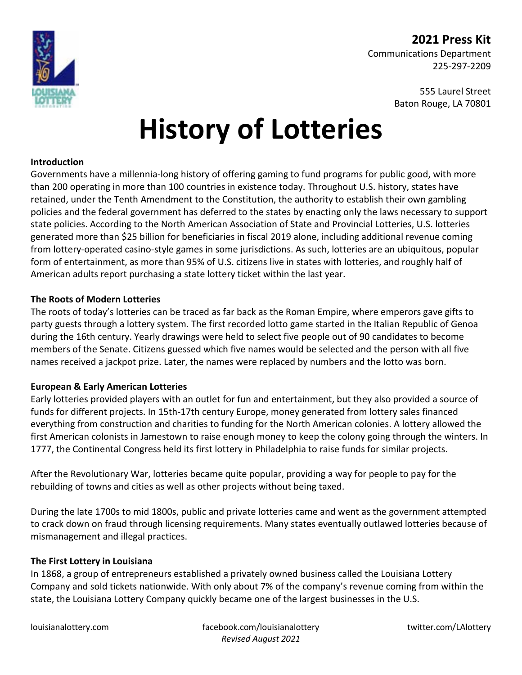

555 Laurel Street Baton Rouge, LA 70801

# **History of Lotteries**

#### **Introduction**

Governments have a millennia-long history of offering gaming to fund programs for public good, with more than 200 operating in more than 100 countries in existence today. Throughout U.S. history, states have retained, under the Tenth Amendment to the Constitution, the authority to establish their own gambling policies and the federal government has deferred to the states by enacting only the laws necessary to support state policies. According to the North American Association of State and Provincial Lotteries, U.S. lotteries generated more than \$25 billion for beneficiaries in fiscal 2019 alone, including additional revenue coming from lottery-operated casino-style games in some jurisdictions. As such, lotteries are an ubiquitous, popular form of entertainment, as more than 95% of U.S. citizens live in states with lotteries, and roughly half of American adults report purchasing a state lottery ticket within the last year.

#### **The Roots of Modern Lotteries**

The roots of today's lotteries can be traced as far back as the Roman Empire, where emperors gave gifts to party guests through a lottery system. The first recorded lotto game started in the Italian Republic of Genoa during the 16th century. Yearly drawings were held to select five people out of 90 candidates to become members of the Senate. Citizens guessed which five names would be selected and the person with all five names received a jackpot prize. Later, the names were replaced by numbers and the lotto was born.

#### **European & Early American Lotteries**

Early lotteries provided players with an outlet for fun and entertainment, but they also provided a source of funds for different projects. In 15th-17th century Europe, money generated from lottery sales financed everything from construction and charities to funding for the North American colonies. A lottery allowed the first American colonists in Jamestown to raise enough money to keep the colony going through the winters. In 1777, the Continental Congress held its first lottery in Philadelphia to raise funds for similar projects.

After the Revolutionary War, lotteries became quite popular, providing a way for people to pay for the rebuilding of towns and cities as well as other projects without being taxed.

During the late 1700s to mid 1800s, public and private lotteries came and went as the government attempted to crack down on fraud through licensing requirements. Many states eventually outlawed lotteries because of mismanagement and illegal practices.

#### **The First Lottery in Louisiana**

In 1868, a group of entrepreneurs established a privately owned business called the Louisiana Lottery Company and sold tickets nationwide. With only about 7% of the company's revenue coming from within the state, the Louisiana Lottery Company quickly became one of the largest businesses in the U.S.